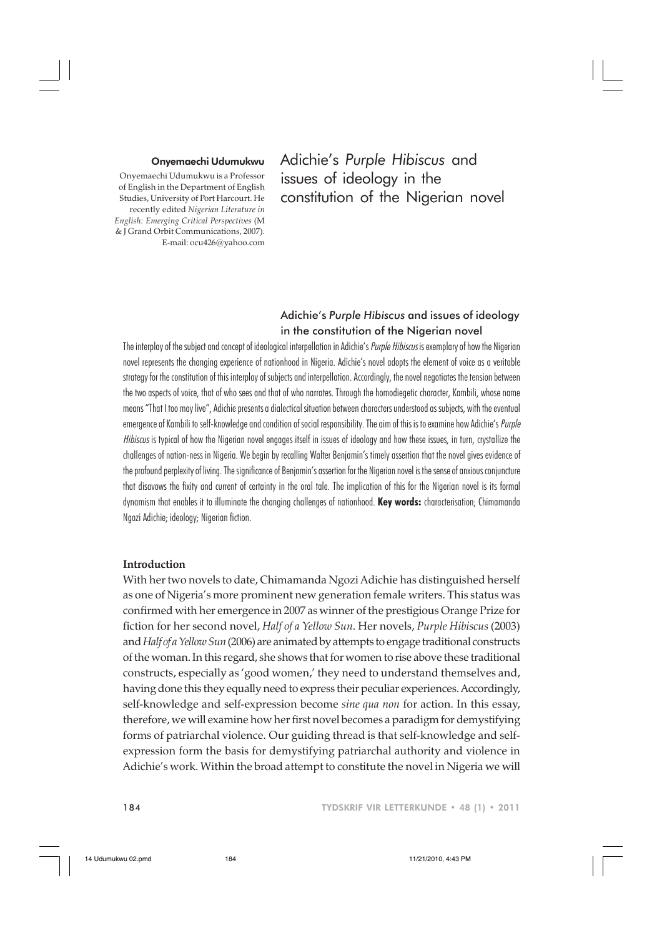#### Onyemaechi Udumukwu

Onyemaechi Udumukwu is a Professor of English in the Department of English Studies, University of Port Harcourt. He recently edited *Nigerian Literature in English: Emerging Critical Perspectives* (M & J Grand Orbit Communications, 2007). E-mail: ocu426@yahoo.com

Adichie's *Purple Hibiscus* and issues of ideology in the constitution of the Nigerian novel

# Adichie's *Purple Hibiscus* and issues of ideology in the constitution of the Nigerian novel

The interplay of the subject and concept of ideological interpellation in Adichie's Purple Hibiscus is exemplary of how the Nigerian novel represents the changing experience of nationhood in Nigeria. Adichie's novel adopts the element of voice as a veritable strategy for the constitution of this interplay of subjects and interpellation. Accordingly, the novel negotiates the tension between the two aspects of voice, that of who sees and that of who narrates. Through the homodiegetic character, Kambili, whose name means "That I too may live", Adichie presents a dialectical situation between characters understood as subjects, with the eventual emergence of Kambili to self-knowledge and condition of social responsibility. The aim of this is to examine how Adichie's Purple Hibiscus is typical of how the Nigerian novel engages itself in issues of ideology and how these issues, in turn, crystallize the challenges of nation-ness in Nigeria. We begin by recalling Walter Benjamin's timely assertion that the novel gives evidence of the profound perplexity of living. The significance of Benjamin's assertion for the Nigerian novel is the sense of anxious conjuncture that disavows the fixity and current of certainty in the oral tale. The implication of this for the Nigerian novel is its formal dynamism that enables it to illuminate the changing challenges of nationhood. **Key words:** characterisation; Chimamanda Ngozi Adichie; ideology; Nigerian fiction.

## **Introduction**

With her two novels to date, Chimamanda Ngozi Adichie has distinguished herself as one of Nigeria's more prominent new generation female writers. This status was confirmed with her emergence in 2007 as winner of the prestigious Orange Prize for fiction for her second novel, *Half of a Yellow Sun*. Her novels, *Purple Hibiscus* (2003) and *Half of a Yellow Sun* (2006) are animated by attempts to engage traditional constructs of the woman. In this regard, she shows that for women to rise above these traditional constructs, especially as 'good women,' they need to understand themselves and, having done this they equally need to express their peculiar experiences. Accordingly, self-knowledge and self-expression become *sine qua non* for action. In this essay, therefore, we will examine how her first novel becomes a paradigm for demystifying forms of patriarchal violence. Our guiding thread is that self-knowledge and selfexpression form the basis for demystifying patriarchal authority and violence in Adichie's work. Within the broad attempt to constitute the novel in Nigeria we will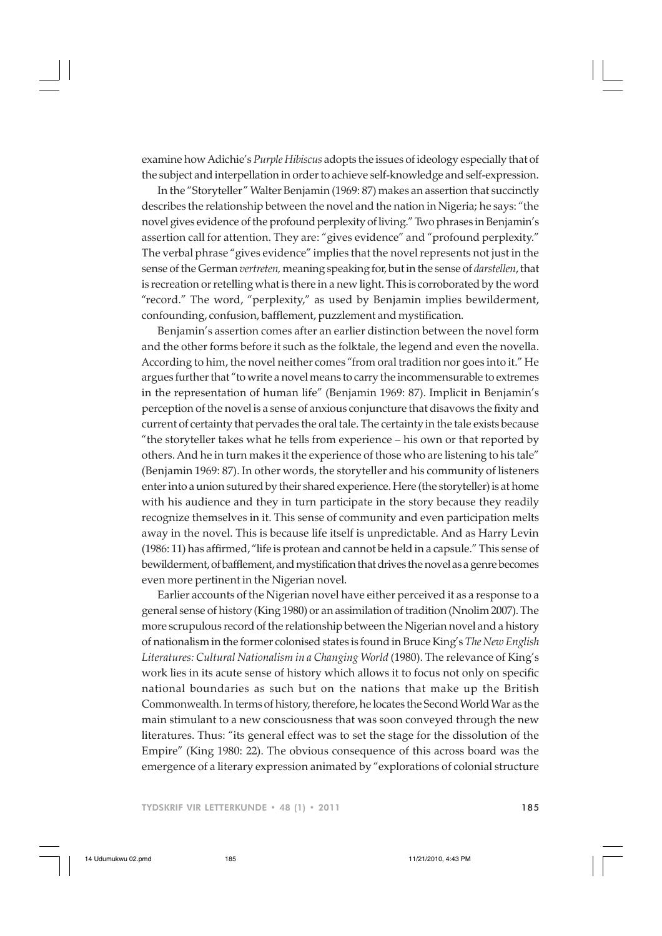examine how Adichie's *Purple Hibiscus* adopts the issues of ideology especially that of the subject and interpellation in order to achieve self-knowledge and self-expression.

In the "Storyteller" Walter Benjamin (1969: 87) makes an assertion that succinctly describes the relationship between the novel and the nation in Nigeria; he says: "the novel gives evidence of the profound perplexity of living." Two phrases in Benjamin's assertion call for attention. They are: "gives evidence" and "profound perplexity." The verbal phrase "gives evidence" implies that the novel represents not just in the sense of the German *vertreten,* meaning speaking for, but in the sense of *darstellen*, that is recreation or retelling what is there in a new light. This is corroborated by the word "record." The word, "perplexity," as used by Benjamin implies bewilderment, confounding, confusion, bafflement, puzzlement and mystification.

Benjamin's assertion comes after an earlier distinction between the novel form and the other forms before it such as the folktale, the legend and even the novella. According to him, the novel neither comes "from oral tradition nor goes into it." He argues further that "to write a novel means to carry the incommensurable to extremes in the representation of human life" (Benjamin 1969: 87). Implicit in Benjamin's perception of the novel is a sense of anxious conjuncture that disavows the fixity and current of certainty that pervades the oral tale. The certainty in the tale exists because "the storyteller takes what he tells from experience – his own or that reported by others. And he in turn makes it the experience of those who are listening to his tale" (Benjamin 1969: 87). In other words, the storyteller and his community of listeners enter into a union sutured by their shared experience. Here (the storyteller) is at home with his audience and they in turn participate in the story because they readily recognize themselves in it. This sense of community and even participation melts away in the novel. This is because life itself is unpredictable. And as Harry Levin (1986: 11) has affirmed, "life is protean and cannot be held in a capsule." This sense of bewilderment, of bafflement, and mystification that drives the novel as a genre becomes even more pertinent in the Nigerian novel.

Earlier accounts of the Nigerian novel have either perceived it as a response to a general sense of history (King 1980) or an assimilation of tradition (Nnolim 2007). The more scrupulous record of the relationship between the Nigerian novel and a history of nationalism in the former colonised states is found in Bruce King's *The New English Literatures: Cultural Nationalism in a Changing World* (1980). The relevance of King's work lies in its acute sense of history which allows it to focus not only on specific national boundaries as such but on the nations that make up the British Commonwealth. In terms of history, therefore, he locates the Second World War as the main stimulant to a new consciousness that was soon conveyed through the new literatures. Thus: "its general effect was to set the stage for the dissolution of the Empire" (King 1980: 22). The obvious consequence of this across board was the emergence of a literary expression animated by "explorations of colonial structure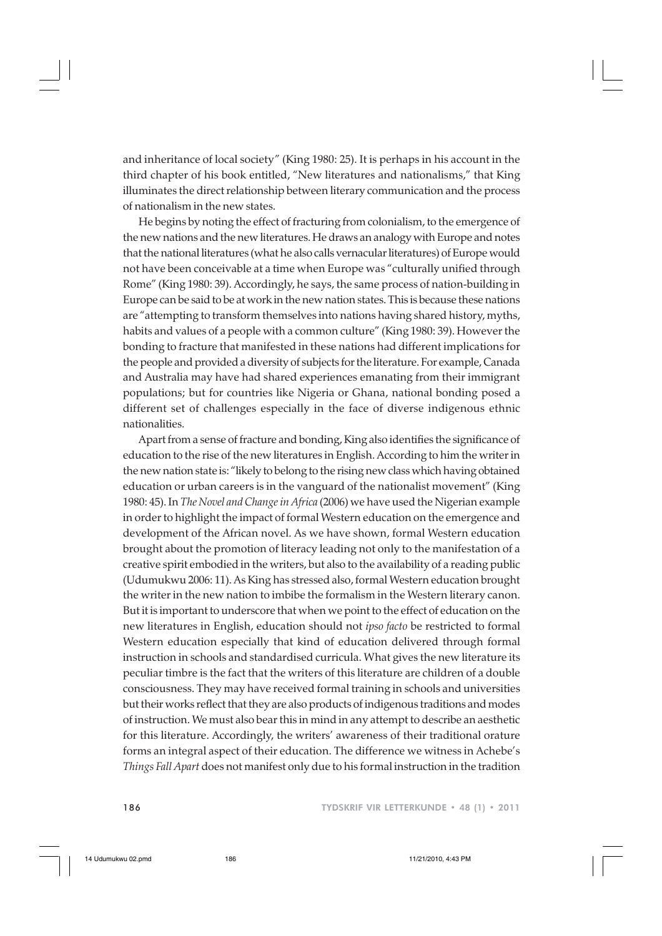and inheritance of local society" (King 1980: 25). It is perhaps in his account in the third chapter of his book entitled, "New literatures and nationalisms," that King illuminates the direct relationship between literary communication and the process of nationalism in the new states.

He begins by noting the effect of fracturing from colonialism, to the emergence of the new nations and the new literatures. He draws an analogy with Europe and notes that the national literatures (what he also calls vernacular literatures) of Europe would not have been conceivable at a time when Europe was "culturally unified through Rome" (King 1980: 39). Accordingly, he says, the same process of nation-building in Europe can be said to be at work in the new nation states. This is because these nations are "attempting to transform themselves into nations having shared history, myths, habits and values of a people with a common culture" (King 1980: 39). However the bonding to fracture that manifested in these nations had different implications for the people and provided a diversity of subjects for the literature. For example, Canada and Australia may have had shared experiences emanating from their immigrant populations; but for countries like Nigeria or Ghana, national bonding posed a different set of challenges especially in the face of diverse indigenous ethnic nationalities.

Apart from a sense of fracture and bonding, King also identifies the significance of education to the rise of the new literatures in English. According to him the writer in the new nation state is: "likely to belong to the rising new class which having obtained education or urban careers is in the vanguard of the nationalist movement" (King 1980: 45). In *The Novel and Change in Africa* (2006) we have used the Nigerian example in order to highlight the impact of formal Western education on the emergence and development of the African novel. As we have shown, formal Western education brought about the promotion of literacy leading not only to the manifestation of a creative spirit embodied in the writers, but also to the availability of a reading public (Udumukwu 2006: 11). As King has stressed also, formal Western education brought the writer in the new nation to imbibe the formalism in the Western literary canon. But it is important to underscore that when we point to the effect of education on the new literatures in English, education should not *ipso facto* be restricted to formal Western education especially that kind of education delivered through formal instruction in schools and standardised curricula. What gives the new literature its peculiar timbre is the fact that the writers of this literature are children of a double consciousness. They may have received formal training in schools and universities but their works reflect that they are also products of indigenous traditions and modes of instruction. We must also bear this in mind in any attempt to describe an aesthetic for this literature. Accordingly, the writers' awareness of their traditional orature forms an integral aspect of their education. The difference we witness in Achebe's *Things Fall Apart* does not manifest only due to his formal instruction in the tradition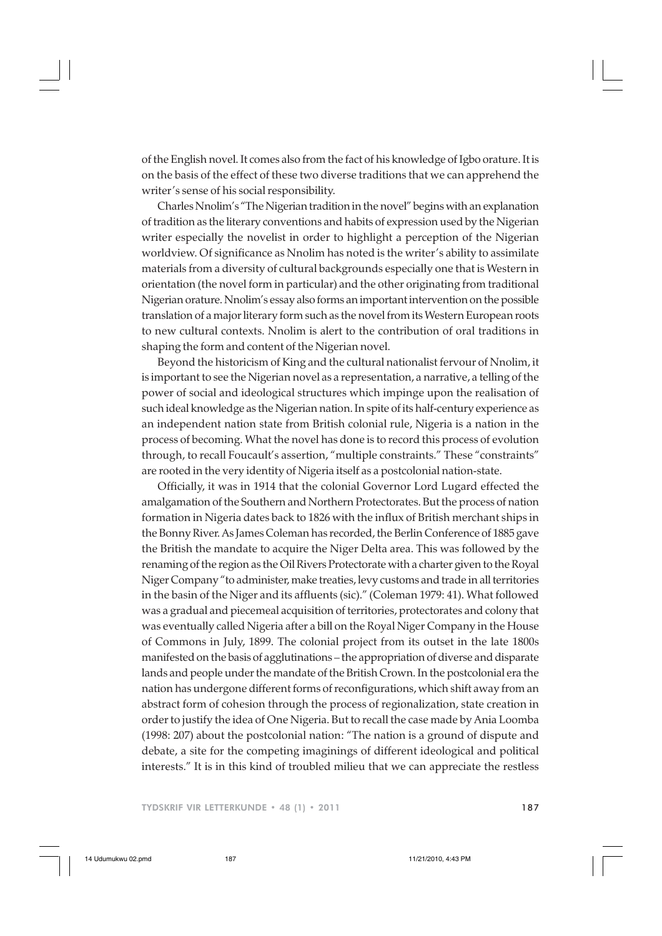of the English novel. It comes also from the fact of his knowledge of Igbo orature. It is on the basis of the effect of these two diverse traditions that we can apprehend the writer's sense of his social responsibility.

Charles Nnolim's "The Nigerian tradition in the novel" begins with an explanation of tradition as the literary conventions and habits of expression used by the Nigerian writer especially the novelist in order to highlight a perception of the Nigerian worldview. Of significance as Nnolim has noted is the writer's ability to assimilate materials from a diversity of cultural backgrounds especially one that is Western in orientation (the novel form in particular) and the other originating from traditional Nigerian orature. Nnolim's essay also forms an important intervention on the possible translation of a major literary form such as the novel from its Western European roots to new cultural contexts. Nnolim is alert to the contribution of oral traditions in shaping the form and content of the Nigerian novel.

Beyond the historicism of King and the cultural nationalist fervour of Nnolim, it is important to see the Nigerian novel as a representation, a narrative, a telling of the power of social and ideological structures which impinge upon the realisation of such ideal knowledge as the Nigerian nation. In spite of its half-century experience as an independent nation state from British colonial rule, Nigeria is a nation in the process of becoming. What the novel has done is to record this process of evolution through, to recall Foucault's assertion, "multiple constraints." These "constraints" are rooted in the very identity of Nigeria itself as a postcolonial nation-state.

Officially, it was in 1914 that the colonial Governor Lord Lugard effected the amalgamation of the Southern and Northern Protectorates. But the process of nation formation in Nigeria dates back to 1826 with the influx of British merchant ships in the Bonny River. As James Coleman has recorded, the Berlin Conference of 1885 gave the British the mandate to acquire the Niger Delta area. This was followed by the renaming of the region as the Oil Rivers Protectorate with a charter given to the Royal Niger Company "to administer, make treaties, levy customs and trade in all territories in the basin of the Niger and its affluents (sic)." (Coleman 1979: 41). What followed was a gradual and piecemeal acquisition of territories, protectorates and colony that was eventually called Nigeria after a bill on the Royal Niger Company in the House of Commons in July, 1899. The colonial project from its outset in the late 1800s manifested on the basis of agglutinations – the appropriation of diverse and disparate lands and people under the mandate of the British Crown. In the postcolonial era the nation has undergone different forms of reconfigurations, which shift away from an abstract form of cohesion through the process of regionalization, state creation in order to justify the idea of One Nigeria. But to recall the case made by Ania Loomba (1998: 207) about the postcolonial nation: "The nation is a ground of dispute and debate, a site for the competing imaginings of different ideological and political interests." It is in this kind of troubled milieu that we can appreciate the restless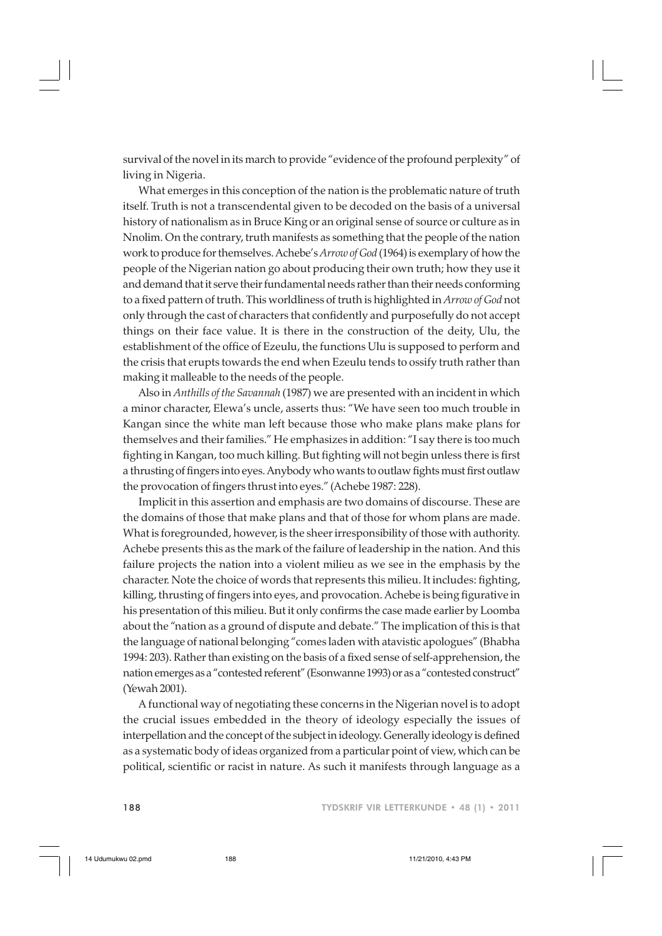survival of the novel in its march to provide "evidence of the profound perplexity" of living in Nigeria.

What emerges in this conception of the nation is the problematic nature of truth itself. Truth is not a transcendental given to be decoded on the basis of a universal history of nationalism as in Bruce King or an original sense of source or culture as in Nnolim. On the contrary, truth manifests as something that the people of the nation work to produce for themselves. Achebe's *Arrow of God* (1964) is exemplary of how the people of the Nigerian nation go about producing their own truth; how they use it and demand that it serve their fundamental needs rather than their needs conforming to a fixed pattern of truth. This worldliness of truth is highlighted in *Arrow of God* not only through the cast of characters that confidently and purposefully do not accept things on their face value. It is there in the construction of the deity, Ulu, the establishment of the office of Ezeulu, the functions Ulu is supposed to perform and the crisis that erupts towards the end when Ezeulu tends to ossify truth rather than making it malleable to the needs of the people.

Also in *Anthills of the Savannah* (1987) we are presented with an incident in which a minor character, Elewa's uncle, asserts thus: "We have seen too much trouble in Kangan since the white man left because those who make plans make plans for themselves and their families." He emphasizes in addition: "I say there is too much fighting in Kangan, too much killing. But fighting will not begin unless there is first a thrusting of fingers into eyes. Anybody who wants to outlaw fights must first outlaw the provocation of fingers thrust into eyes." (Achebe 1987: 228).

Implicit in this assertion and emphasis are two domains of discourse. These are the domains of those that make plans and that of those for whom plans are made. What is foregrounded, however, is the sheer irresponsibility of those with authority. Achebe presents this as the mark of the failure of leadership in the nation. And this failure projects the nation into a violent milieu as we see in the emphasis by the character. Note the choice of words that represents this milieu. It includes: fighting, killing, thrusting of fingers into eyes, and provocation. Achebe is being figurative in his presentation of this milieu. But it only confirms the case made earlier by Loomba about the "nation as a ground of dispute and debate." The implication of this is that the language of national belonging "comes laden with atavistic apologues" (Bhabha 1994: 203). Rather than existing on the basis of a fixed sense of self-apprehension, the nation emerges as a "contested referent" (Esonwanne 1993) or as a "contested construct" (Yewah 2001).

A functional way of negotiating these concerns in the Nigerian novel is to adopt the crucial issues embedded in the theory of ideology especially the issues of interpellation and the concept of the subject in ideology. Generally ideology is defined as a systematic body of ideas organized from a particular point of view, which can be political, scientific or racist in nature. As such it manifests through language as a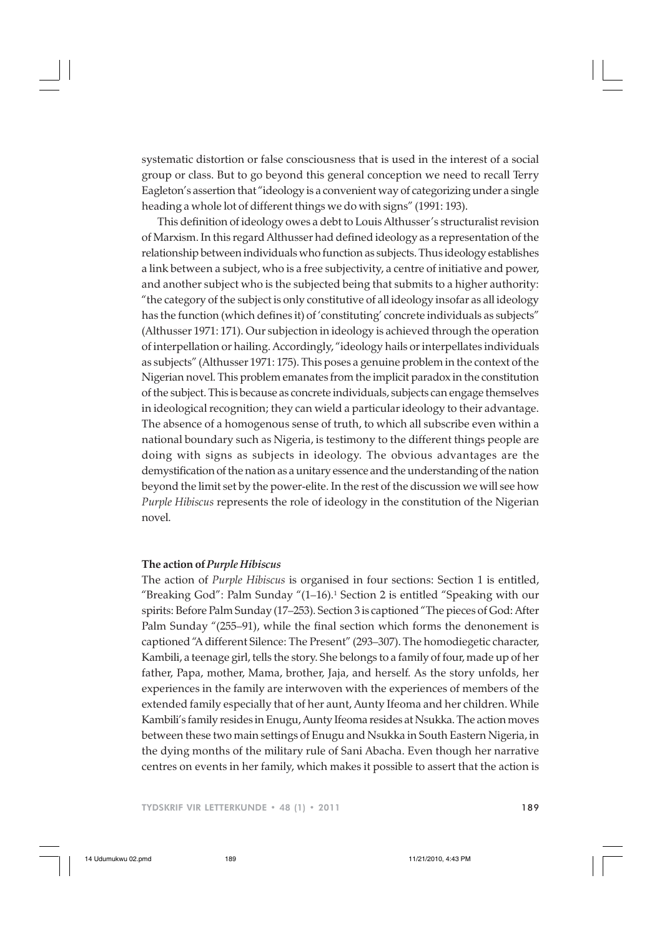systematic distortion or false consciousness that is used in the interest of a social group or class. But to go beyond this general conception we need to recall Terry Eagleton's assertion that "ideology is a convenient way of categorizing under a single heading a whole lot of different things we do with signs" (1991: 193).

This definition of ideology owes a debt to Louis Althusser's structuralist revision of Marxism. In this regard Althusser had defined ideology as a representation of the relationship between individuals who function as subjects. Thus ideology establishes a link between a subject, who is a free subjectivity, a centre of initiative and power, and another subject who is the subjected being that submits to a higher authority: "the category of the subject is only constitutive of all ideology insofar as all ideology has the function (which defines it) of 'constituting' concrete individuals as subjects" (Althusser 1971: 171). Our subjection in ideology is achieved through the operation of interpellation or hailing. Accordingly, "ideology hails or interpellates individuals as subjects" (Althusser 1971: 175). This poses a genuine problem in the context of the Nigerian novel. This problem emanates from the implicit paradox in the constitution of the subject. This is because as concrete individuals, subjects can engage themselves in ideological recognition; they can wield a particular ideology to their advantage. The absence of a homogenous sense of truth, to which all subscribe even within a national boundary such as Nigeria, is testimony to the different things people are doing with signs as subjects in ideology. The obvious advantages are the demystification of the nation as a unitary essence and the understanding of the nation beyond the limit set by the power-elite. In the rest of the discussion we will see how *Purple Hibiscus* represents the role of ideology in the constitution of the Nigerian novel.

## **The action of** *Purple Hibiscus*

The action of *Purple Hibiscus* is organised in four sections: Section 1 is entitled, "Breaking God": Palm Sunday "(1–16).1 Section 2 is entitled "Speaking with our spirits: Before Palm Sunday (17–253). Section 3 is captioned "The pieces of God: After Palm Sunday "(255–91), while the final section which forms the denonement is captioned "A different Silence: The Present" (293–307). The homodiegetic character, Kambili, a teenage girl, tells the story. She belongs to a family of four, made up of her father, Papa, mother, Mama, brother, Jaja, and herself. As the story unfolds, her experiences in the family are interwoven with the experiences of members of the extended family especially that of her aunt, Aunty Ifeoma and her children. While Kambili's family resides in Enugu, Aunty Ifeoma resides at Nsukka. The action moves between these two main settings of Enugu and Nsukka in South Eastern Nigeria, in the dying months of the military rule of Sani Abacha. Even though her narrative centres on events in her family, which makes it possible to assert that the action is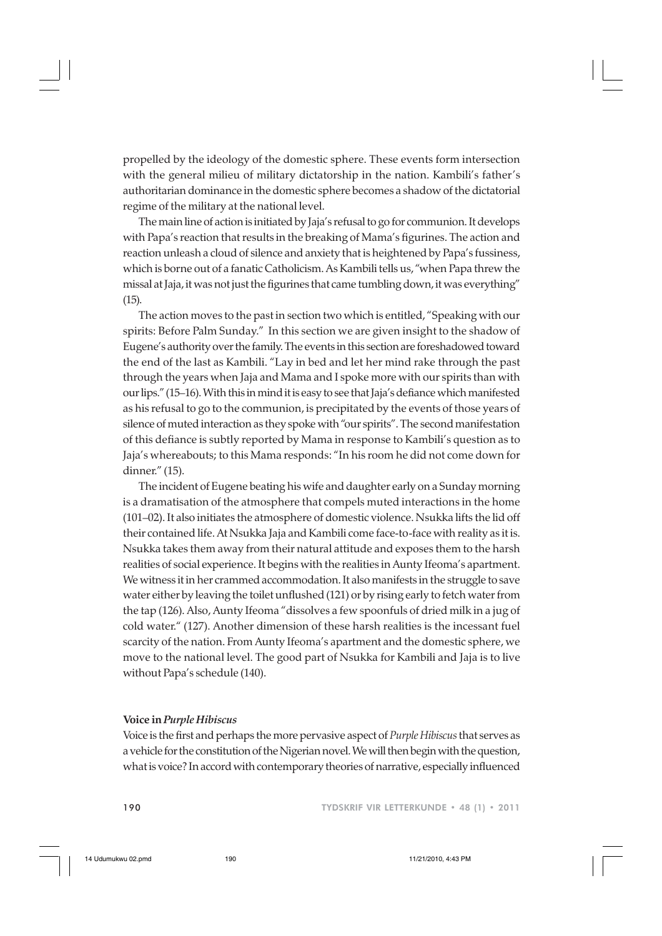propelled by the ideology of the domestic sphere. These events form intersection with the general milieu of military dictatorship in the nation. Kambili's father's authoritarian dominance in the domestic sphere becomes a shadow of the dictatorial regime of the military at the national level.

The main line of action is initiated by Jaja's refusal to go for communion. It develops with Papa's reaction that results in the breaking of Mama's figurines. The action and reaction unleash a cloud of silence and anxiety that is heightened by Papa's fussiness, which is borne out of a fanatic Catholicism. As Kambili tells us, "when Papa threw the missal at Jaja, it was not just the figurines that came tumbling down, it was everything" (15).

The action moves to the past in section two which is entitled, "Speaking with our spirits: Before Palm Sunday." In this section we are given insight to the shadow of Eugene's authority over the family. The events in this section are foreshadowed toward the end of the last as Kambili. "Lay in bed and let her mind rake through the past through the years when Jaja and Mama and I spoke more with our spirits than with our lips." (15–16). With this in mind it is easy to see that Jaja's defiance which manifested as his refusal to go to the communion, is precipitated by the events of those years of silence of muted interaction as they spoke with "our spirits". The second manifestation of this defiance is subtly reported by Mama in response to Kambili's question as to Jaja's whereabouts; to this Mama responds: "In his room he did not come down for dinner." (15).

The incident of Eugene beating his wife and daughter early on a Sunday morning is a dramatisation of the atmosphere that compels muted interactions in the home (101–02). It also initiates the atmosphere of domestic violence. Nsukka lifts the lid off their contained life. At Nsukka Jaja and Kambili come face-to-face with reality as it is. Nsukka takes them away from their natural attitude and exposes them to the harsh realities of social experience. It begins with the realities in Aunty Ifeoma's apartment. We witness it in her crammed accommodation. It also manifests in the struggle to save water either by leaving the toilet unflushed (121) or by rising early to fetch water from the tap (126). Also, Aunty Ifeoma "dissolves a few spoonfuls of dried milk in a jug of cold water." (127). Another dimension of these harsh realities is the incessant fuel scarcity of the nation. From Aunty Ifeoma's apartment and the domestic sphere, we move to the national level. The good part of Nsukka for Kambili and Jaja is to live without Papa's schedule (140).

#### **Voice in** *Purple Hibiscus*

Voice is the first and perhaps the more pervasive aspect of *Purple Hibiscus* that serves as a vehicle for the constitution of the Nigerian novel. We will then begin with the question, what is voice? In accord with contemporary theories of narrative, especially influenced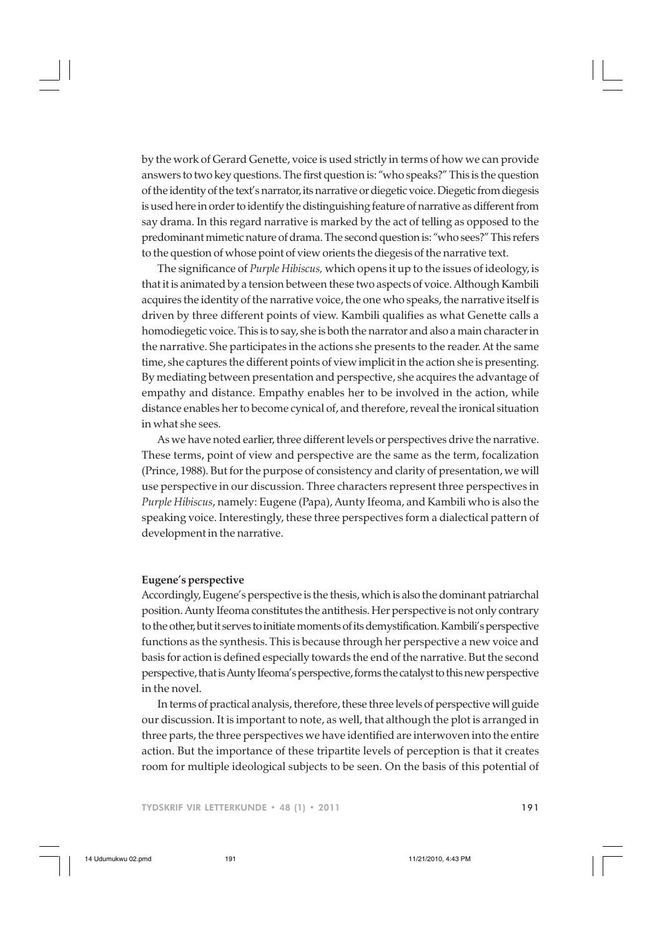by the work of Gerard Genette, voice is used strictly in terms of how we can provide answers to two key questions. The first question is: "who speaks?" This is the question of the identity of the text's narrator, its narrative or diegetic voice. Diegetic from diegesis is used here in order to identify the distinguishing feature of narrative as different from say drama. In this regard narrative is marked by the act of telling as opposed to the predominant mimetic nature of drama. The second question is: "who sees?" This refers to the question of whose point of view orients the diegesis of the narrative text.

The significance of *Purple Hibiscus,* which opens it up to the issues of ideology, is that it is animated by a tension between these two aspects of voice. Although Kambili acquires the identity of the narrative voice, the one who speaks, the narrative itself is driven by three different points of view. Kambili qualifies as what Genette calls a homodiegetic voice. This is to say, she is both the narrator and also a main character in the narrative. She participates in the actions she presents to the reader. At the same time, she captures the different points of view implicit in the action she is presenting. By mediating between presentation and perspective, she acquires the advantage of empathy and distance. Empathy enables her to be involved in the action, while distance enables her to become cynical of, and therefore, reveal the ironical situation in what she sees.

As we have noted earlier, three different levels or perspectives drive the narrative. These terms, point of view and perspective are the same as the term, focalization (Prince, 1988). But for the purpose of consistency and clarity of presentation, we will use perspective in our discussion. Three characters represent three perspectives in *Purple Hibiscus*, namely: Eugene (Papa), Aunty Ifeoma, and Kambili who is also the speaking voice. Interestingly, these three perspectives form a dialectical pattern of development in the narrative.

### **Eugene's perspective**

Accordingly, Eugene's perspective is the thesis, which is also the dominant patriarchal position. Aunty Ifeoma constitutes the antithesis. Her perspective is not only contrary to the other, but it serves to initiate moments of its demystification. Kambili's perspective functions as the synthesis. This is because through her perspective a new voice and basis for action is defined especially towards the end of the narrative. But the second perspective, that is Aunty Ifeoma's perspective, forms the catalyst to this new perspective in the novel.

In terms of practical analysis, therefore, these three levels of perspective will guide our discussion. It is important to note, as well, that although the plot is arranged in three parts, the three perspectives we have identified are interwoven into the entire action. But the importance of these tripartite levels of perception is that it creates room for multiple ideological subjects to be seen. On the basis of this potential of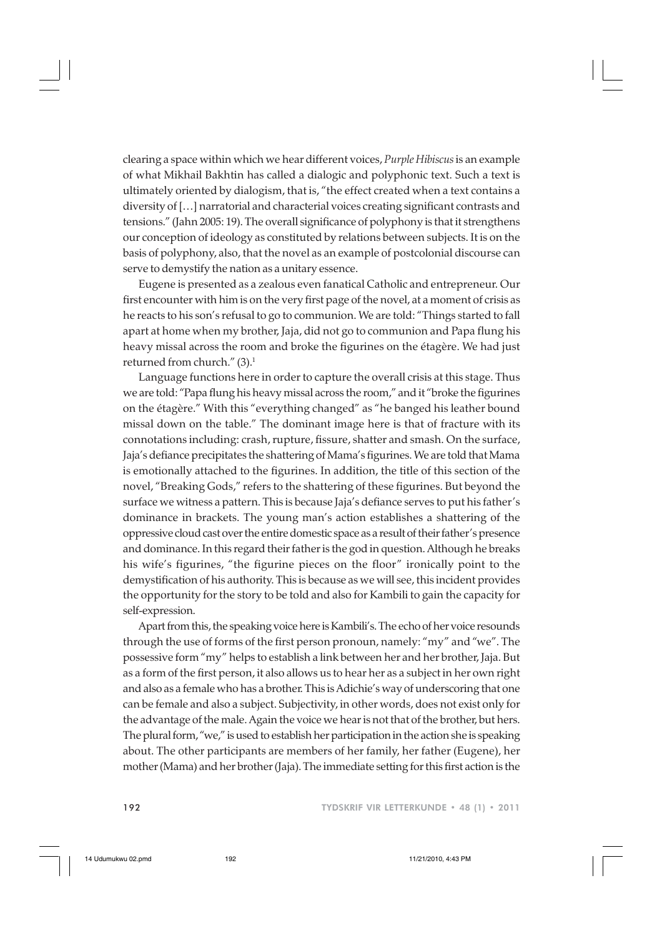clearing a space within which we hear different voices, *Purple Hibiscus* is an example of what Mikhail Bakhtin has called a dialogic and polyphonic text. Such a text is ultimately oriented by dialogism, that is, "the effect created when a text contains a diversity of […] narratorial and characterial voices creating significant contrasts and tensions." (Jahn 2005: 19). The overall significance of polyphony is that it strengthens our conception of ideology as constituted by relations between subjects. It is on the basis of polyphony, also, that the novel as an example of postcolonial discourse can serve to demystify the nation as a unitary essence.

Eugene is presented as a zealous even fanatical Catholic and entrepreneur. Our first encounter with him is on the very first page of the novel, at a moment of crisis as he reacts to his son's refusal to go to communion. We are told: "Things started to fall apart at home when my brother, Jaja, did not go to communion and Papa flung his heavy missal across the room and broke the figurines on the étagère. We had just returned from church." (3).<sup>1</sup>

Language functions here in order to capture the overall crisis at this stage. Thus we are told: "Papa flung his heavy missal across the room," and it "broke the figurines on the étagère." With this "everything changed" as "he banged his leather bound missal down on the table." The dominant image here is that of fracture with its connotations including: crash, rupture, fissure, shatter and smash. On the surface, Jaja's defiance precipitates the shattering of Mama's figurines. We are told that Mama is emotionally attached to the figurines. In addition, the title of this section of the novel, "Breaking Gods," refers to the shattering of these figurines. But beyond the surface we witness a pattern. This is because Jaja's defiance serves to put his father's dominance in brackets. The young man's action establishes a shattering of the oppressive cloud cast over the entire domestic space as a result of their father's presence and dominance. In this regard their father is the god in question. Although he breaks his wife's figurines, "the figurine pieces on the floor" ironically point to the demystification of his authority. This is because as we will see, this incident provides the opportunity for the story to be told and also for Kambili to gain the capacity for self-expression.

Apart from this, the speaking voice here is Kambili's. The echo of her voice resounds through the use of forms of the first person pronoun, namely: "my" and "we". The possessive form "my" helps to establish a link between her and her brother, Jaja. But as a form of the first person, it also allows us to hear her as a subject in her own right and also as a female who has a brother. This is Adichie's way of underscoring that one can be female and also a subject. Subjectivity, in other words, does not exist only for the advantage of the male. Again the voice we hear is not that of the brother, but hers. The plural form, "we," is used to establish her participation in the action she is speaking about. The other participants are members of her family, her father (Eugene), her mother (Mama) and her brother (Jaja). The immediate setting for this first action is the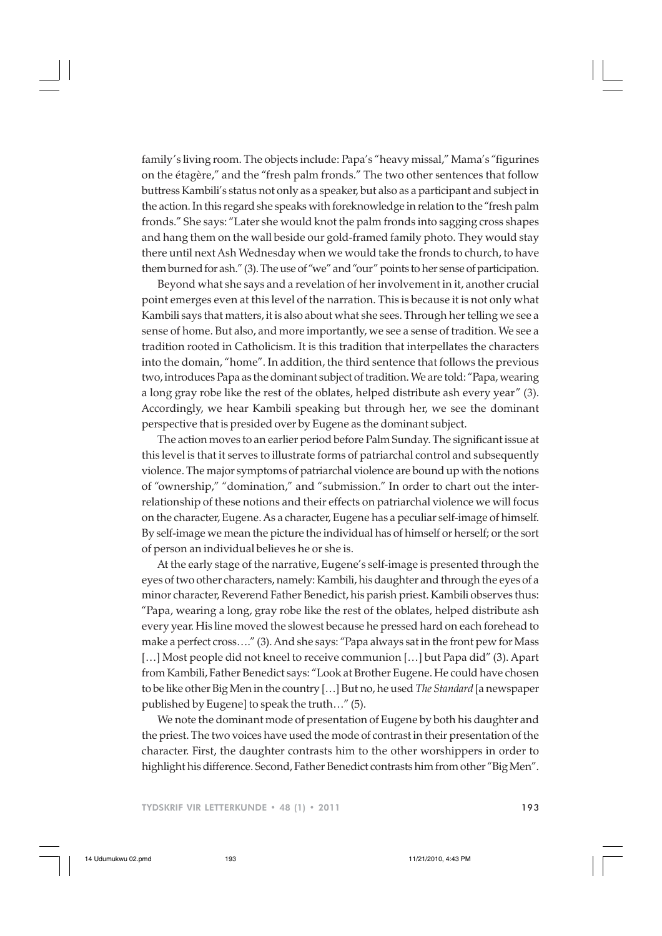family's living room. The objects include: Papa's "heavy missal," Mama's "figurines on the étagère," and the "fresh palm fronds." The two other sentences that follow buttress Kambili's status not only as a speaker, but also as a participant and subject in the action. In this regard she speaks with foreknowledge in relation to the "fresh palm fronds." She says: "Later she would knot the palm fronds into sagging cross shapes and hang them on the wall beside our gold-framed family photo. They would stay there until next Ash Wednesday when we would take the fronds to church, to have them burned for ash." (3). The use of "we" and "our" points to her sense of participation.

Beyond what she says and a revelation of her involvement in it, another crucial point emerges even at this level of the narration. This is because it is not only what Kambili says that matters, it is also about what she sees. Through her telling we see a sense of home. But also, and more importantly, we see a sense of tradition. We see a tradition rooted in Catholicism. It is this tradition that interpellates the characters into the domain, "home". In addition, the third sentence that follows the previous two, introduces Papa as the dominant subject of tradition. We are told: "Papa, wearing a long gray robe like the rest of the oblates, helped distribute ash every year" (3). Accordingly, we hear Kambili speaking but through her, we see the dominant perspective that is presided over by Eugene as the dominant subject.

The action moves to an earlier period before Palm Sunday. The significant issue at this level is that it serves to illustrate forms of patriarchal control and subsequently violence. The major symptoms of patriarchal violence are bound up with the notions of "ownership," "domination," and "submission." In order to chart out the interrelationship of these notions and their effects on patriarchal violence we will focus on the character, Eugene. As a character, Eugene has a peculiar self-image of himself. By self-image we mean the picture the individual has of himself or herself; or the sort of person an individual believes he or she is.

At the early stage of the narrative, Eugene's self-image is presented through the eyes of two other characters, namely: Kambili, his daughter and through the eyes of a minor character, Reverend Father Benedict, his parish priest. Kambili observes thus: "Papa, wearing a long, gray robe like the rest of the oblates, helped distribute ash every year. His line moved the slowest because he pressed hard on each forehead to make a perfect cross…." (3). And she says: "Papa always sat in the front pew for Mass [...] Most people did not kneel to receive communion [...] but Papa did" (3). Apart from Kambili, Father Benedict says: "Look at Brother Eugene. He could have chosen to be like other Big Men in the country […] But no, he used *The Standard* [a newspaper published by Eugene] to speak the truth…" (5).

We note the dominant mode of presentation of Eugene by both his daughter and the priest. The two voices have used the mode of contrast in their presentation of the character. First, the daughter contrasts him to the other worshippers in order to highlight his difference. Second, Father Benedict contrasts him from other "Big Men".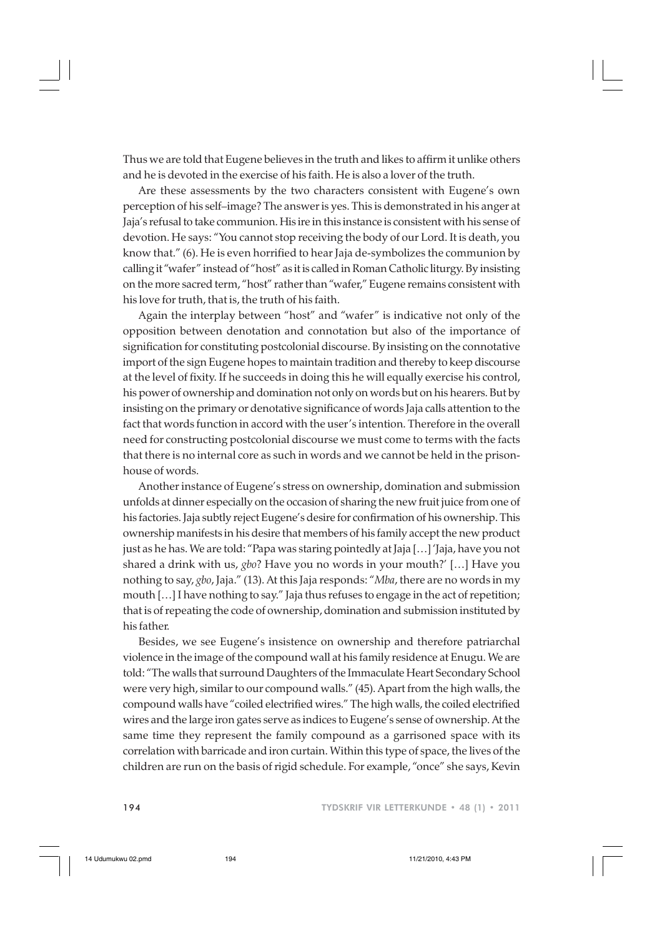Thus we are told that Eugene believes in the truth and likes to affirm it unlike others and he is devoted in the exercise of his faith. He is also a lover of the truth.

Are these assessments by the two characters consistent with Eugene's own perception of his self–image? The answer is yes. This is demonstrated in his anger at Jaja's refusal to take communion. His ire in this instance is consistent with his sense of devotion. He says: "You cannot stop receiving the body of our Lord. It is death, you know that." (6). He is even horrified to hear Jaja de-symbolizes the communion by calling it "wafer" instead of "host" as it is called in Roman Catholic liturgy. By insisting on the more sacred term, "host" rather than "wafer," Eugene remains consistent with his love for truth, that is, the truth of his faith.

Again the interplay between "host" and "wafer" is indicative not only of the opposition between denotation and connotation but also of the importance of signification for constituting postcolonial discourse. By insisting on the connotative import of the sign Eugene hopes to maintain tradition and thereby to keep discourse at the level of fixity. If he succeeds in doing this he will equally exercise his control, his power of ownership and domination not only on words but on his hearers. But by insisting on the primary or denotative significance of words Jaja calls attention to the fact that words function in accord with the user's intention. Therefore in the overall need for constructing postcolonial discourse we must come to terms with the facts that there is no internal core as such in words and we cannot be held in the prisonhouse of words.

Another instance of Eugene's stress on ownership, domination and submission unfolds at dinner especially on the occasion of sharing the new fruit juice from one of his factories. Jaja subtly reject Eugene's desire for confirmation of his ownership. This ownership manifests in his desire that members of his family accept the new product just as he has. We are told: "Papa was staring pointedly at Jaja […] 'Jaja, have you not shared a drink with us, *gbo*? Have you no words in your mouth?' […] Have you nothing to say, *gbo*, Jaja." (13). At this Jaja responds: "*Mba*, there are no words in my mouth […] I have nothing to say." Jaja thus refuses to engage in the act of repetition; that is of repeating the code of ownership, domination and submission instituted by his father.

Besides, we see Eugene's insistence on ownership and therefore patriarchal violence in the image of the compound wall at his family residence at Enugu. We are told: "The walls that surround Daughters of the Immaculate Heart Secondary School were very high, similar to our compound walls." (45). Apart from the high walls, the compound walls have "coiled electrified wires." The high walls, the coiled electrified wires and the large iron gates serve as indices to Eugene's sense of ownership. At the same time they represent the family compound as a garrisoned space with its correlation with barricade and iron curtain. Within this type of space, the lives of the children are run on the basis of rigid schedule. For example, "once" she says, Kevin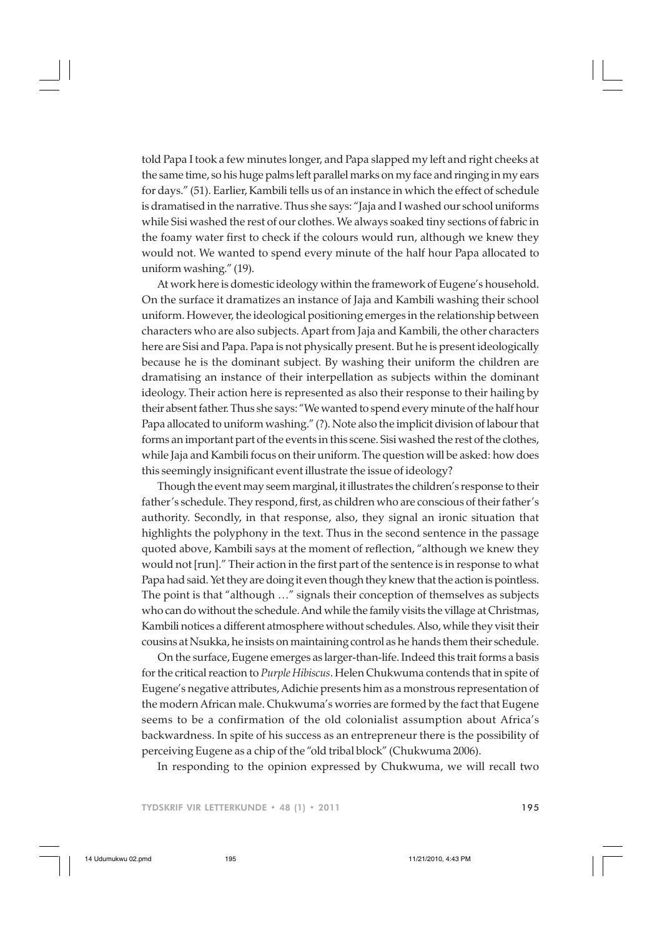told Papa I took a few minutes longer, and Papa slapped my left and right cheeks at the same time, so his huge palms left parallel marks on my face and ringing in my ears for days." (51). Earlier, Kambili tells us of an instance in which the effect of schedule is dramatised in the narrative. Thus she says: "Jaja and I washed our school uniforms while Sisi washed the rest of our clothes. We always soaked tiny sections of fabric in the foamy water first to check if the colours would run, although we knew they would not. We wanted to spend every minute of the half hour Papa allocated to uniform washing." (19).

At work here is domestic ideology within the framework of Eugene's household. On the surface it dramatizes an instance of Jaja and Kambili washing their school uniform. However, the ideological positioning emerges in the relationship between characters who are also subjects. Apart from Jaja and Kambili, the other characters here are Sisi and Papa. Papa is not physically present. But he is present ideologically because he is the dominant subject. By washing their uniform the children are dramatising an instance of their interpellation as subjects within the dominant ideology. Their action here is represented as also their response to their hailing by their absent father. Thus she says: "We wanted to spend every minute of the half hour Papa allocated to uniform washing." (?). Note also the implicit division of labour that forms an important part of the events in this scene. Sisi washed the rest of the clothes, while Jaja and Kambili focus on their uniform. The question will be asked: how does this seemingly insignificant event illustrate the issue of ideology?

Though the event may seem marginal, it illustrates the children's response to their father's schedule. They respond, first, as children who are conscious of their father's authority. Secondly, in that response, also, they signal an ironic situation that highlights the polyphony in the text. Thus in the second sentence in the passage quoted above, Kambili says at the moment of reflection, "although we knew they would not [run]." Their action in the first part of the sentence is in response to what Papa had said. Yet they are doing it even though they knew that the action is pointless. The point is that "although …" signals their conception of themselves as subjects who can do without the schedule. And while the family visits the village at Christmas, Kambili notices a different atmosphere without schedules. Also, while they visit their cousins at Nsukka, he insists on maintaining control as he hands them their schedule.

On the surface, Eugene emerges as larger-than-life. Indeed this trait forms a basis for the critical reaction to *Purple Hibiscus*. Helen Chukwuma contends that in spite of Eugene's negative attributes, Adichie presents him as a monstrous representation of the modern African male. Chukwuma's worries are formed by the fact that Eugene seems to be a confirmation of the old colonialist assumption about Africa's backwardness. In spite of his success as an entrepreneur there is the possibility of perceiving Eugene as a chip of the "old tribal block" (Chukwuma 2006).

In responding to the opinion expressed by Chukwuma, we will recall two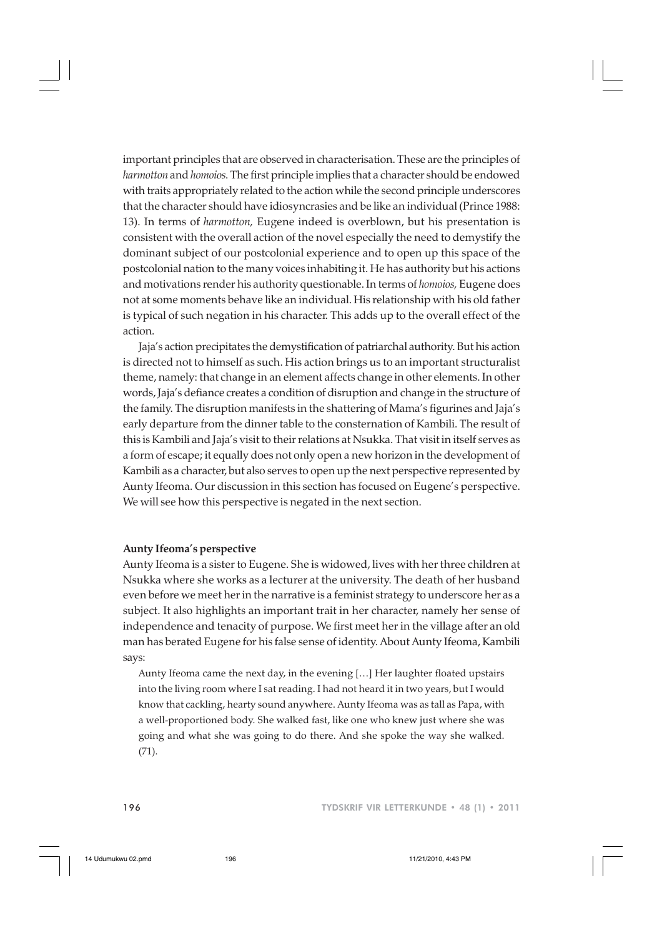important principles that are observed in characterisation. These are the principles of *harmotton* and *homoios*. The first principle implies that a character should be endowed with traits appropriately related to the action while the second principle underscores that the character should have idiosyncrasies and be like an individual (Prince 1988: 13). In terms of *harmotton,* Eugene indeed is overblown, but his presentation is consistent with the overall action of the novel especially the need to demystify the dominant subject of our postcolonial experience and to open up this space of the postcolonial nation to the many voices inhabiting it. He has authority but his actions and motivations render his authority questionable. In terms of *homoios,* Eugene does not at some moments behave like an individual. His relationship with his old father is typical of such negation in his character. This adds up to the overall effect of the action.

Jaja's action precipitates the demystification of patriarchal authority. But his action is directed not to himself as such. His action brings us to an important structuralist theme, namely: that change in an element affects change in other elements. In other words, Jaja's defiance creates a condition of disruption and change in the structure of the family. The disruption manifests in the shattering of Mama's figurines and Jaja's early departure from the dinner table to the consternation of Kambili. The result of this is Kambili and Jaja's visit to their relations at Nsukka. That visit in itself serves as a form of escape; it equally does not only open a new horizon in the development of Kambili as a character, but also serves to open up the next perspective represented by Aunty Ifeoma. Our discussion in this section has focused on Eugene's perspective. We will see how this perspective is negated in the next section.

#### **Aunty Ifeoma's perspective**

Aunty Ifeoma is a sister to Eugene. She is widowed, lives with her three children at Nsukka where she works as a lecturer at the university. The death of her husband even before we meet her in the narrative is a feminist strategy to underscore her as a subject. It also highlights an important trait in her character, namely her sense of independence and tenacity of purpose. We first meet her in the village after an old man has berated Eugene for his false sense of identity. About Aunty Ifeoma, Kambili says:

Aunty Ifeoma came the next day, in the evening […] Her laughter floated upstairs into the living room where I sat reading. I had not heard it in two years, but I would know that cackling, hearty sound anywhere. Aunty Ifeoma was as tall as Papa, with a well-proportioned body. She walked fast, like one who knew just where she was going and what she was going to do there. And she spoke the way she walked. (71).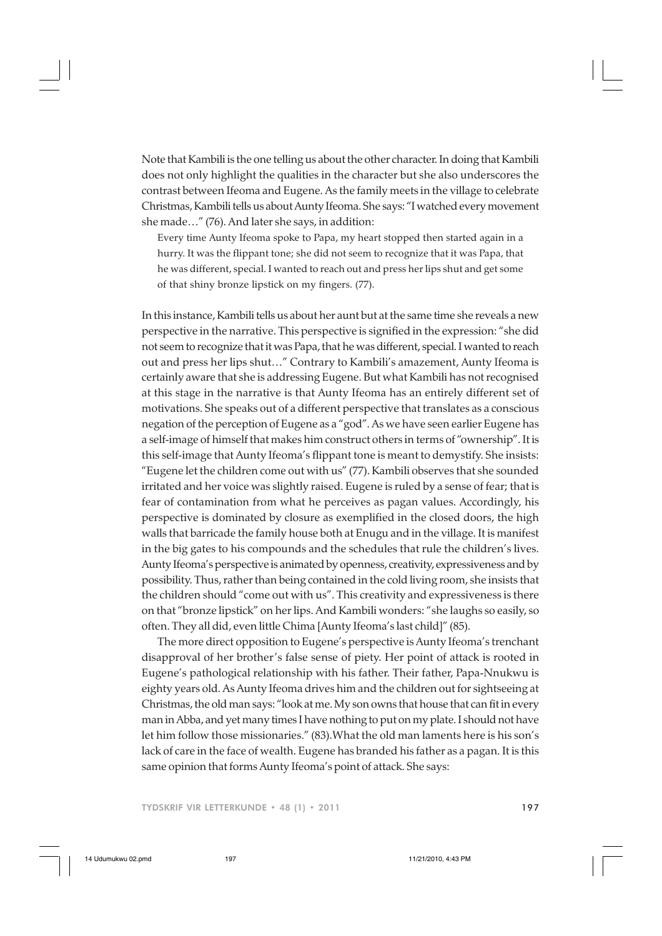Note that Kambili is the one telling us about the other character. In doing that Kambili does not only highlight the qualities in the character but she also underscores the contrast between Ifeoma and Eugene. As the family meets in the village to celebrate Christmas, Kambili tells us about Aunty Ifeoma. She says: "I watched every movement she made…" (76). And later she says, in addition:

Every time Aunty Ifeoma spoke to Papa, my heart stopped then started again in a hurry. It was the flippant tone; she did not seem to recognize that it was Papa, that he was different, special. I wanted to reach out and press her lips shut and get some of that shiny bronze lipstick on my fingers. (77).

In this instance, Kambili tells us about her aunt but at the same time she reveals a new perspective in the narrative. This perspective is signified in the expression: "she did not seem to recognize that it was Papa, that he was different, special. I wanted to reach out and press her lips shut…" Contrary to Kambili's amazement, Aunty Ifeoma is certainly aware that she is addressing Eugene. But what Kambili has not recognised at this stage in the narrative is that Aunty Ifeoma has an entirely different set of motivations. She speaks out of a different perspective that translates as a conscious negation of the perception of Eugene as a "god". As we have seen earlier Eugene has a self-image of himself that makes him construct others in terms of "ownership". It is this self-image that Aunty Ifeoma's flippant tone is meant to demystify. She insists: "Eugene let the children come out with us" (77). Kambili observes that she sounded irritated and her voice was slightly raised. Eugene is ruled by a sense of fear; that is fear of contamination from what he perceives as pagan values. Accordingly, his perspective is dominated by closure as exemplified in the closed doors, the high walls that barricade the family house both at Enugu and in the village. It is manifest in the big gates to his compounds and the schedules that rule the children's lives. Aunty Ifeoma's perspective is animated by openness, creativity, expressiveness and by possibility. Thus, rather than being contained in the cold living room, she insists that the children should "come out with us". This creativity and expressiveness is there on that "bronze lipstick" on her lips. And Kambili wonders: "she laughs so easily, so often. They all did, even little Chima [Aunty Ifeoma's last child]" (85).

The more direct opposition to Eugene's perspective is Aunty Ifeoma's trenchant disapproval of her brother's false sense of piety. Her point of attack is rooted in Eugene's pathological relationship with his father. Their father, Papa-Nnukwu is eighty years old. As Aunty Ifeoma drives him and the children out for sightseeing at Christmas, the old man says: "look at me. My son owns that house that can fit in every man in Abba, and yet many times I have nothing to put on my plate. I should not have let him follow those missionaries." (83).What the old man laments here is his son's lack of care in the face of wealth. Eugene has branded his father as a pagan. It is this same opinion that forms Aunty Ifeoma's point of attack. She says: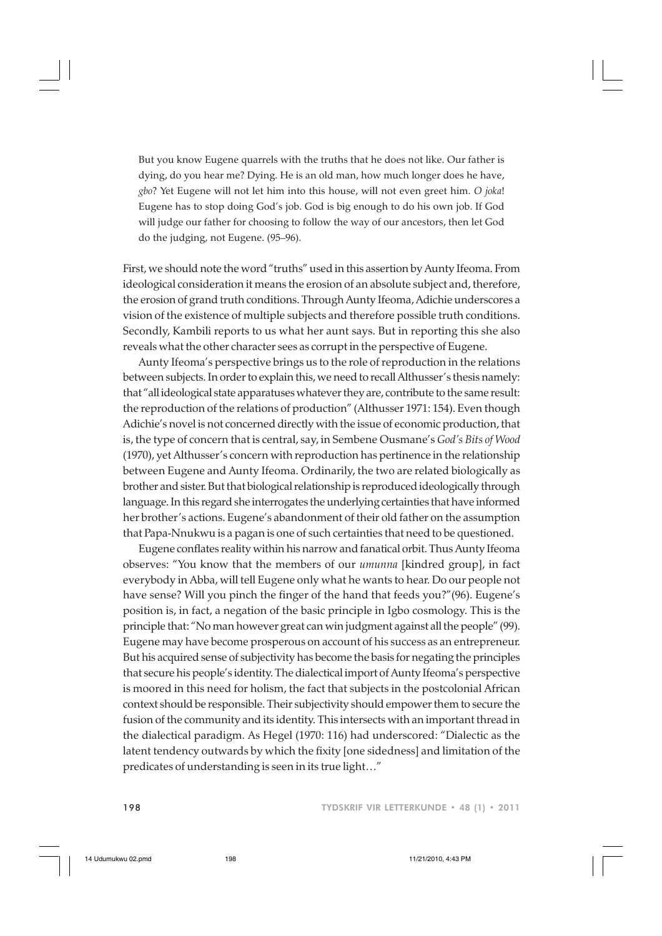But you know Eugene quarrels with the truths that he does not like. Our father is dying, do you hear me? Dying. He is an old man, how much longer does he have, *gbo*? Yet Eugene will not let him into this house, will not even greet him. *O joka*! Eugene has to stop doing God's job. God is big enough to do his own job. If God will judge our father for choosing to follow the way of our ancestors, then let God do the judging, not Eugene. (95–96).

First, we should note the word "truths" used in this assertion by Aunty Ifeoma. From ideological consideration it means the erosion of an absolute subject and, therefore, the erosion of grand truth conditions. Through Aunty Ifeoma, Adichie underscores a vision of the existence of multiple subjects and therefore possible truth conditions. Secondly, Kambili reports to us what her aunt says. But in reporting this she also reveals what the other character sees as corrupt in the perspective of Eugene.

Aunty Ifeoma's perspective brings us to the role of reproduction in the relations between subjects. In order to explain this, we need to recall Althusser's thesis namely: that "all ideological state apparatuses whatever they are, contribute to the same result: the reproduction of the relations of production" (Althusser 1971: 154). Even though Adichie's novel is not concerned directly with the issue of economic production, that is, the type of concern that is central, say, in Sembene Ousmane's *God's Bits of Wood* (1970), yet Althusser's concern with reproduction has pertinence in the relationship between Eugene and Aunty Ifeoma. Ordinarily, the two are related biologically as brother and sister. But that biological relationship is reproduced ideologically through language. In this regard she interrogates the underlying certainties that have informed her brother's actions. Eugene's abandonment of their old father on the assumption that Papa-Nnukwu is a pagan is one of such certainties that need to be questioned.

Eugene conflates reality within his narrow and fanatical orbit. Thus Aunty Ifeoma observes: "You know that the members of our *umunna* [kindred group], in fact everybody in Abba, will tell Eugene only what he wants to hear. Do our people not have sense? Will you pinch the finger of the hand that feeds you?"(96). Eugene's position is, in fact, a negation of the basic principle in Igbo cosmology. This is the principle that: "No man however great can win judgment against all the people" (99). Eugene may have become prosperous on account of his success as an entrepreneur. But his acquired sense of subjectivity has become the basis for negating the principles that secure his people's identity. The dialectical import of Aunty Ifeoma's perspective is moored in this need for holism, the fact that subjects in the postcolonial African context should be responsible. Their subjectivity should empower them to secure the fusion of the community and its identity. This intersects with an important thread in the dialectical paradigm. As Hegel (1970: 116) had underscored: "Dialectic as the latent tendency outwards by which the fixity [one sidedness] and limitation of the predicates of understanding is seen in its true light…"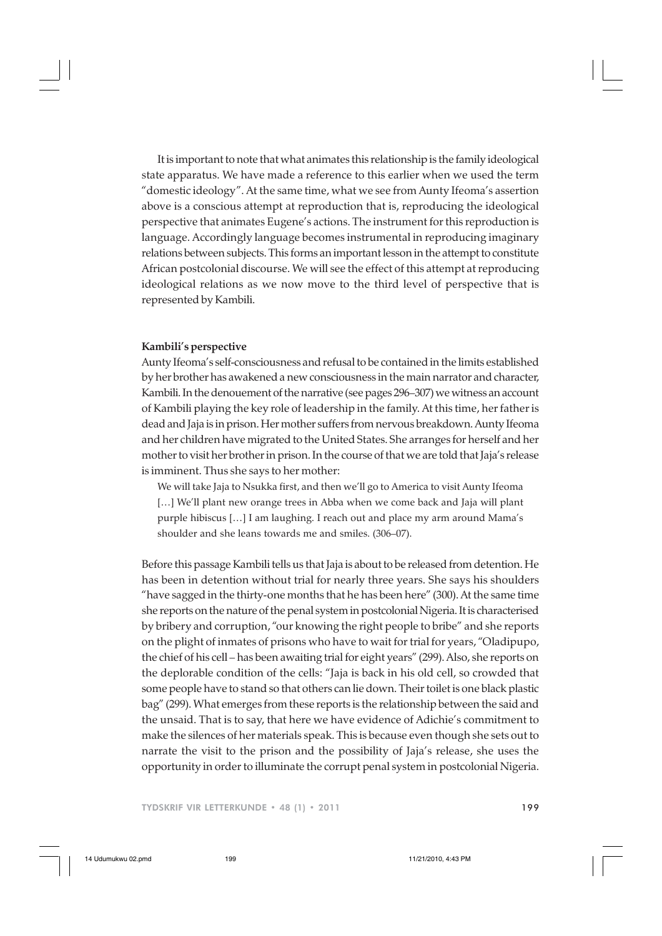It is important to note that what animates this relationship is the family ideological state apparatus. We have made a reference to this earlier when we used the term "domestic ideology". At the same time, what we see from Aunty Ifeoma's assertion above is a conscious attempt at reproduction that is, reproducing the ideological perspective that animates Eugene's actions. The instrument for this reproduction is language. Accordingly language becomes instrumental in reproducing imaginary relations between subjects. This forms an important lesson in the attempt to constitute African postcolonial discourse. We will see the effect of this attempt at reproducing ideological relations as we now move to the third level of perspective that is represented by Kambili.

### **Kambili's perspective**

Aunty Ifeoma's self-consciousness and refusal to be contained in the limits established by her brother has awakened a new consciousness in the main narrator and character, Kambili. In the denouement of the narrative (see pages 296–307) we witness an account of Kambili playing the key role of leadership in the family. At this time, her father is dead and Jaja is in prison. Her mother suffers from nervous breakdown. Aunty Ifeoma and her children have migrated to the United States. She arranges for herself and her mother to visit her brother in prison. In the course of that we are told that Jaja's release is imminent. Thus she says to her mother:

We will take Jaja to Nsukka first, and then we'll go to America to visit Aunty Ifeoma [...] We'll plant new orange trees in Abba when we come back and Jaja will plant purple hibiscus […] I am laughing. I reach out and place my arm around Mama's shoulder and she leans towards me and smiles. (306–07).

Before this passage Kambili tells us that Jaja is about to be released from detention. He has been in detention without trial for nearly three years. She says his shoulders "have sagged in the thirty-one months that he has been here" (300). At the same time she reports on the nature of the penal system in postcolonial Nigeria. It is characterised by bribery and corruption, "our knowing the right people to bribe" and she reports on the plight of inmates of prisons who have to wait for trial for years, "Oladipupo, the chief of his cell – has been awaiting trial for eight years" (299). Also, she reports on the deplorable condition of the cells: "Jaja is back in his old cell, so crowded that some people have to stand so that others can lie down. Their toilet is one black plastic bag" (299). What emerges from these reports is the relationship between the said and the unsaid. That is to say, that here we have evidence of Adichie's commitment to make the silences of her materials speak. This is because even though she sets out to narrate the visit to the prison and the possibility of Jaja's release, she uses the opportunity in order to illuminate the corrupt penal system in postcolonial Nigeria.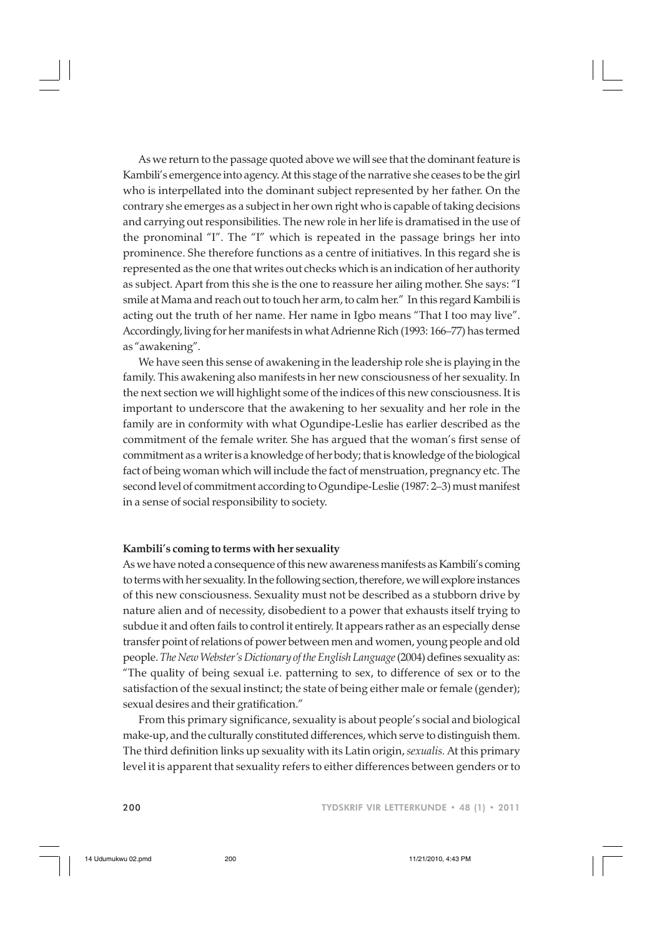As we return to the passage quoted above we will see that the dominant feature is Kambili's emergence into agency. At this stage of the narrative she ceases to be the girl who is interpellated into the dominant subject represented by her father. On the contrary she emerges as a subject in her own right who is capable of taking decisions and carrying out responsibilities. The new role in her life is dramatised in the use of the pronominal "I". The "I" which is repeated in the passage brings her into prominence. She therefore functions as a centre of initiatives. In this regard she is represented as the one that writes out checks which is an indication of her authority as subject. Apart from this she is the one to reassure her ailing mother. She says: "I smile at Mama and reach out to touch her arm, to calm her." In this regard Kambili is acting out the truth of her name. Her name in Igbo means "That I too may live". Accordingly, living for her manifests in what Adrienne Rich (1993: 166–77) has termed as "awakening".

We have seen this sense of awakening in the leadership role she is playing in the family. This awakening also manifests in her new consciousness of her sexuality. In the next section we will highlight some of the indices of this new consciousness. It is important to underscore that the awakening to her sexuality and her role in the family are in conformity with what Ogundipe-Leslie has earlier described as the commitment of the female writer. She has argued that the woman's first sense of commitment as a writer is a knowledge of her body; that is knowledge of the biological fact of being woman which will include the fact of menstruation, pregnancy etc. The second level of commitment according to Ogundipe-Leslie (1987: 2–3) must manifest in a sense of social responsibility to society.

#### **Kambili's coming to terms with her sexuality**

As we have noted a consequence of this new awareness manifests as Kambili's coming to terms with her sexuality. In the following section, therefore, we will explore instances of this new consciousness. Sexuality must not be described as a stubborn drive by nature alien and of necessity, disobedient to a power that exhausts itself trying to subdue it and often fails to control it entirely. It appears rather as an especially dense transfer point of relations of power between men and women, young people and old people. *The New Webster's Dictionary of the English Language* (2004) defines sexuality as: "The quality of being sexual i.e. patterning to sex, to difference of sex or to the satisfaction of the sexual instinct; the state of being either male or female (gender); sexual desires and their gratification."

From this primary significance, sexuality is about people's social and biological make-up, and the culturally constituted differences, which serve to distinguish them. The third definition links up sexuality with its Latin origin, *sexualis.* At this primary level it is apparent that sexuality refers to either differences between genders or to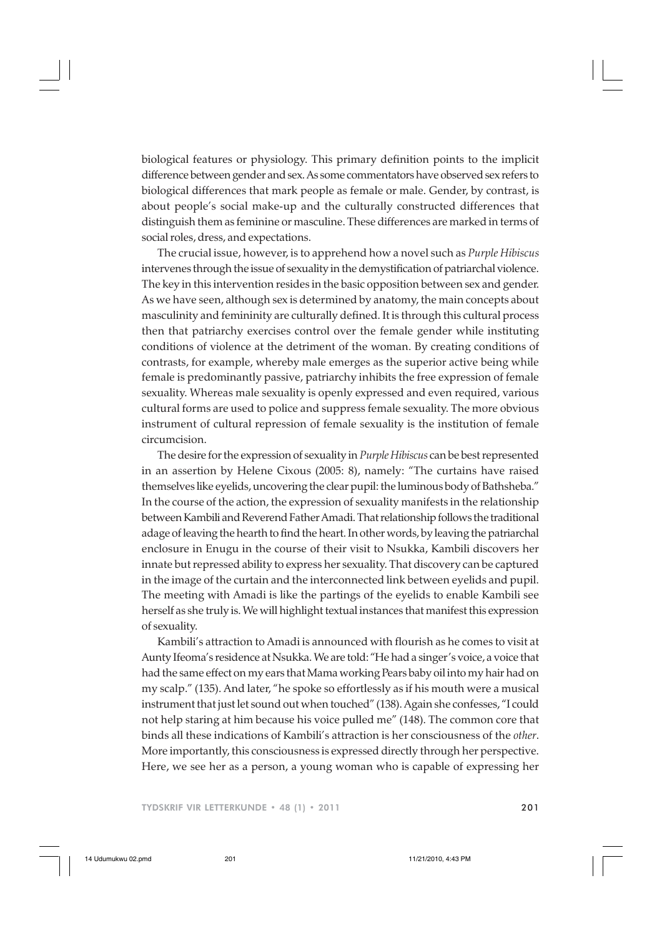biological features or physiology. This primary definition points to the implicit difference between gender and sex. As some commentators have observed sex refers to biological differences that mark people as female or male. Gender, by contrast, is about people's social make-up and the culturally constructed differences that distinguish them as feminine or masculine. These differences are marked in terms of social roles, dress, and expectations.

The crucial issue, however, is to apprehend how a novel such as *Purple Hibiscus* intervenes through the issue of sexuality in the demystification of patriarchal violence. The key in this intervention resides in the basic opposition between sex and gender. As we have seen, although sex is determined by anatomy, the main concepts about masculinity and femininity are culturally defined. It is through this cultural process then that patriarchy exercises control over the female gender while instituting conditions of violence at the detriment of the woman. By creating conditions of contrasts, for example, whereby male emerges as the superior active being while female is predominantly passive, patriarchy inhibits the free expression of female sexuality. Whereas male sexuality is openly expressed and even required, various cultural forms are used to police and suppress female sexuality. The more obvious instrument of cultural repression of female sexuality is the institution of female circumcision.

The desire for the expression of sexuality in *Purple Hibiscus* can be best represented in an assertion by Helene Cixous (2005: 8), namely: "The curtains have raised themselves like eyelids, uncovering the clear pupil: the luminous body of Bathsheba." In the course of the action, the expression of sexuality manifests in the relationship between Kambili and Reverend Father Amadi. That relationship follows the traditional adage of leaving the hearth to find the heart. In other words, by leaving the patriarchal enclosure in Enugu in the course of their visit to Nsukka, Kambili discovers her innate but repressed ability to express her sexuality. That discovery can be captured in the image of the curtain and the interconnected link between eyelids and pupil. The meeting with Amadi is like the partings of the eyelids to enable Kambili see herself as she truly is. We will highlight textual instances that manifest this expression of sexuality.

Kambili's attraction to Amadi is announced with flourish as he comes to visit at Aunty Ifeoma's residence at Nsukka. We are told: "He had a singer's voice, a voice that had the same effect on my ears that Mama working Pears baby oil into my hair had on my scalp." (135). And later, "he spoke so effortlessly as if his mouth were a musical instrument that just let sound out when touched" (138). Again she confesses, "I could not help staring at him because his voice pulled me" (148). The common core that binds all these indications of Kambili's attraction is her consciousness of the *other*. More importantly, this consciousness is expressed directly through her perspective. Here, we see her as a person, a young woman who is capable of expressing her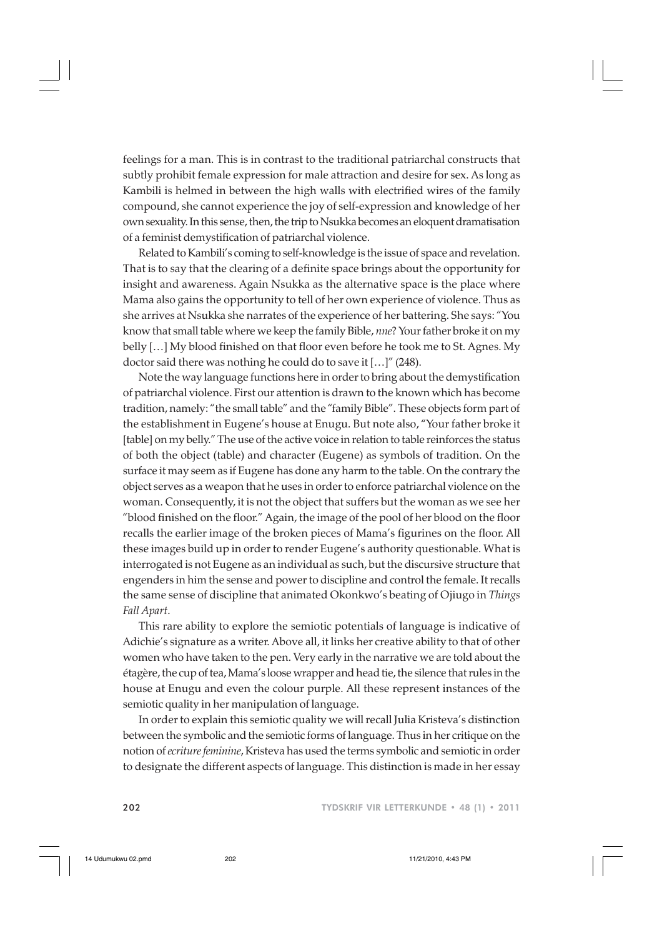feelings for a man. This is in contrast to the traditional patriarchal constructs that subtly prohibit female expression for male attraction and desire for sex. As long as Kambili is helmed in between the high walls with electrified wires of the family compound, she cannot experience the joy of self-expression and knowledge of her own sexuality. In this sense, then, the trip to Nsukka becomes an eloquent dramatisation of a feminist demystification of patriarchal violence.

Related to Kambili's coming to self-knowledge is the issue of space and revelation. That is to say that the clearing of a definite space brings about the opportunity for insight and awareness. Again Nsukka as the alternative space is the place where Mama also gains the opportunity to tell of her own experience of violence. Thus as she arrives at Nsukka she narrates of the experience of her battering. She says: "You know that small table where we keep the family Bible, *nne*? Your father broke it on my belly […] My blood finished on that floor even before he took me to St. Agnes. My doctor said there was nothing he could do to save it […]" (248).

Note the way language functions here in order to bring about the demystification of patriarchal violence. First our attention is drawn to the known which has become tradition, namely: "the small table" and the "family Bible". These objects form part of the establishment in Eugene's house at Enugu. But note also, "Your father broke it [table] on my belly." The use of the active voice in relation to table reinforces the status of both the object (table) and character (Eugene) as symbols of tradition. On the surface it may seem as if Eugene has done any harm to the table. On the contrary the object serves as a weapon that he uses in order to enforce patriarchal violence on the woman. Consequently, it is not the object that suffers but the woman as we see her "blood finished on the floor." Again, the image of the pool of her blood on the floor recalls the earlier image of the broken pieces of Mama's figurines on the floor. All these images build up in order to render Eugene's authority questionable. What is interrogated is not Eugene as an individual as such, but the discursive structure that engenders in him the sense and power to discipline and control the female. It recalls the same sense of discipline that animated Okonkwo's beating of Ojiugo in *Things Fall Apart*.

This rare ability to explore the semiotic potentials of language is indicative of Adichie's signature as a writer. Above all, it links her creative ability to that of other women who have taken to the pen. Very early in the narrative we are told about the étagère, the cup of tea, Mama's loose wrapper and head tie, the silence that rules in the house at Enugu and even the colour purple. All these represent instances of the semiotic quality in her manipulation of language.

In order to explain this semiotic quality we will recall Julia Kristeva's distinction between the symbolic and the semiotic forms of language. Thus in her critique on the notion of *ecriture feminine*, Kristeva has used the terms symbolic and semiotic in order to designate the different aspects of language. This distinction is made in her essay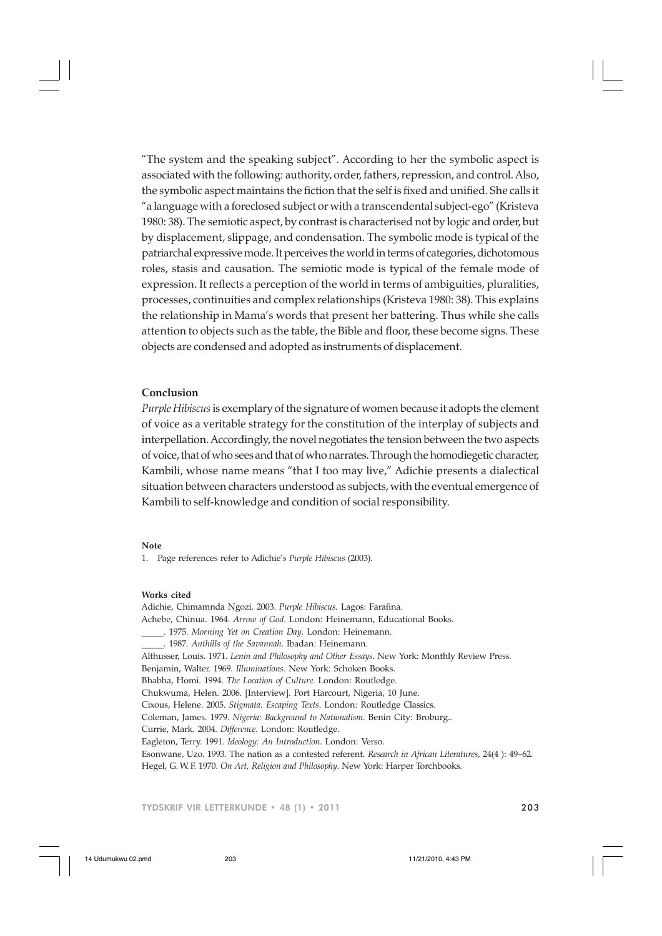"The system and the speaking subject". According to her the symbolic aspect is associated with the following: authority, order, fathers, repression, and control. Also, the symbolic aspect maintains the fiction that the self is fixed and unified. She calls it "a language with a foreclosed subject or with a transcendental subject-ego" (Kristeva 1980: 38). The semiotic aspect, by contrast is characterised not by logic and order, but by displacement, slippage, and condensation. The symbolic mode is typical of the patriarchal expressive mode. It perceives the world in terms of categories, dichotomous roles, stasis and causation. The semiotic mode is typical of the female mode of expression. It reflects a perception of the world in terms of ambiguities, pluralities, processes, continuities and complex relationships (Kristeva 1980: 38). This explains the relationship in Mama's words that present her battering. Thus while she calls attention to objects such as the table, the Bible and floor, these become signs. These objects are condensed and adopted as instruments of displacement.

## **Conclusion**

*Purple Hibiscus* is exemplary of the signature of women because it adopts the element of voice as a veritable strategy for the constitution of the interplay of subjects and interpellation. Accordingly, the novel negotiates the tension between the two aspects of voice, that of who sees and that of who narrates. Through the homodiegetic character, Kambili, whose name means "that I too may live," Adichie presents a dialectical situation between characters understood as subjects, with the eventual emergence of Kambili to self-knowledge and condition of social responsibility.

#### **Note**

1. Page references refer to Adichie's *Purple Hibiscus* (2003).

#### **Works cited**

Adichie, Chimamnda Ngozi. 2003. *Purple Hibiscus.* Lagos: Farafina. Achebe, Chinua. 1964. *Arrow of God*. London: Heinemann, Educational Books. \_\_\_\_\_. 1975. *Morning Yet on Creation Day*. London: Heinemann. \_\_\_\_\_. 1987. *Anthills of the Savannah*. Ibadan: Heinemann. Althusser, Louis. 1971. *Lenin and Philosophy and Other Essays*. New York: Monthly Review Press. Benjamin, Walter. 1969. *Illuminations.* New York: Schoken Books. Bhabha, Homi. 1994. *The Location of Culture*. London: Routledge. Chukwuma, Helen. 2006. [Interview]. Port Harcourt, Nigeria, 10 June. Cixous, Helene. 2005. *Stigmata: Escaping Texts*. London: Routledge Classics. Coleman, James. 1979. *Nigeria: Background to Nationalism*. Benin City: Broburg.. Currie, Mark. 2004. *Difference*. London: Routledge. Eagleton, Terry. 1991. *Ideology: An Introduction*. London: Verso. Esonwane, Uzo. 1993. The nation as a contested referent. *Research in African Literatures*, 24(4 ): 49–62. Hegel, G. W. F. 1970. *On Art, Religion and Philosophy*. New York: Harper Torchbooks.